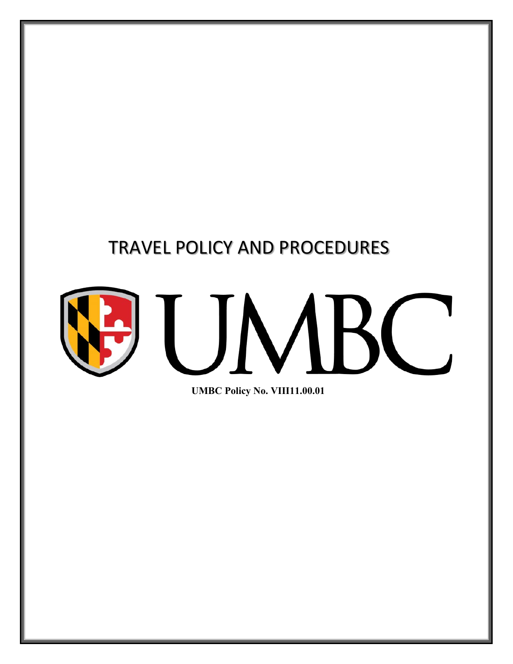## TRAVEL POLICY AND PROCEDURES

# UM Ľ

**UMBC Policy No. VIII11.00.01**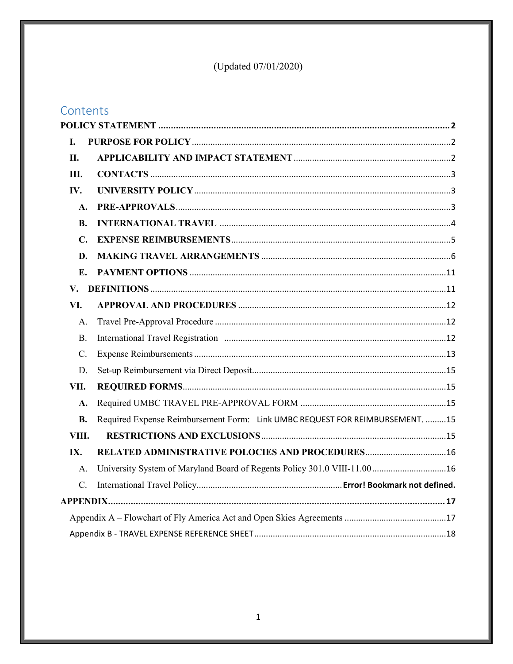## (Updated 07/01/2020)

## Contents

| L.              |                                                                              |  |  |
|-----------------|------------------------------------------------------------------------------|--|--|
| II.             |                                                                              |  |  |
| Ш.              |                                                                              |  |  |
| IV.             |                                                                              |  |  |
| A.              |                                                                              |  |  |
| <b>B.</b>       |                                                                              |  |  |
| $\mathbf{C}$ .  |                                                                              |  |  |
| D.              |                                                                              |  |  |
| E.              |                                                                              |  |  |
| $V_{\star}$     |                                                                              |  |  |
| VI.             |                                                                              |  |  |
| A.              |                                                                              |  |  |
| <b>B.</b>       |                                                                              |  |  |
| $\mathcal{C}$ . |                                                                              |  |  |
| D.              |                                                                              |  |  |
| VII.            |                                                                              |  |  |
| A.              |                                                                              |  |  |
| <b>B.</b>       | Required Expense Reimbursement Form: Link UMBC REQUEST FOR REIMBURSEMENT. 15 |  |  |
| VIII.           |                                                                              |  |  |
| IX.             | RELATED ADMINISTRATIVE POLOCIES AND PROCEDURES 16                            |  |  |
| A.              | University System of Maryland Board of Regents Policy 301.0 VIII-11.00 16    |  |  |
| $C$ .           |                                                                              |  |  |
|                 |                                                                              |  |  |
|                 |                                                                              |  |  |
|                 |                                                                              |  |  |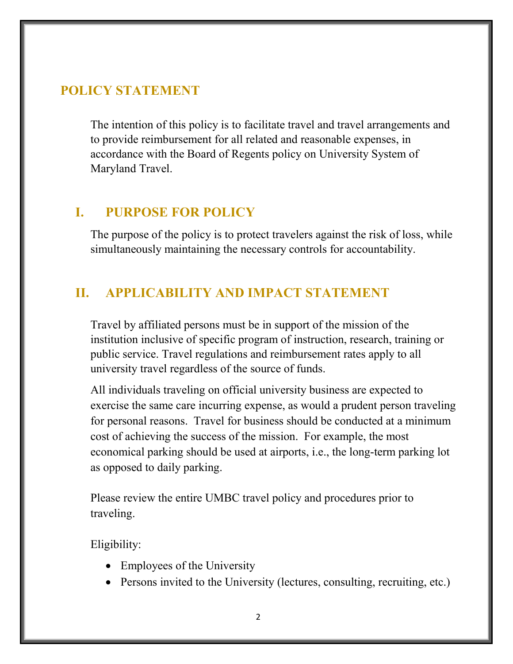## <span id="page-2-0"></span>**POLICY STATEMENT**

The intention of this policy is to facilitate travel and travel arrangements and to provide reimbursement for all related and reasonable expenses, in accordance with the Board of Regents policy on University System of Maryland Travel.

## <span id="page-2-1"></span>**I. PURPOSE FOR POLICY**

The purpose of the policy is to protect travelers against the risk of loss, while simultaneously maintaining the necessary controls for accountability.

## <span id="page-2-2"></span>**II. APPLICABILITY AND IMPACT STATEMENT**

Travel by affiliated persons must be in support of the mission of the institution inclusive of specific program of instruction, research, training or public service. Travel regulations and reimbursement rates apply to all university travel regardless of the source of funds.

All individuals traveling on official university business are expected to exercise the same care incurring expense, as would a prudent person traveling for personal reasons. Travel for business should be conducted at a minimum cost of achieving the success of the mission. For example, the most economical parking should be used at airports, i.e., the long-term parking lot as opposed to daily parking.

Please review the entire UMBC travel policy and procedures prior to traveling.

Eligibility:

- Employees of the University
- Persons invited to the University (lectures, consulting, recruiting, etc.)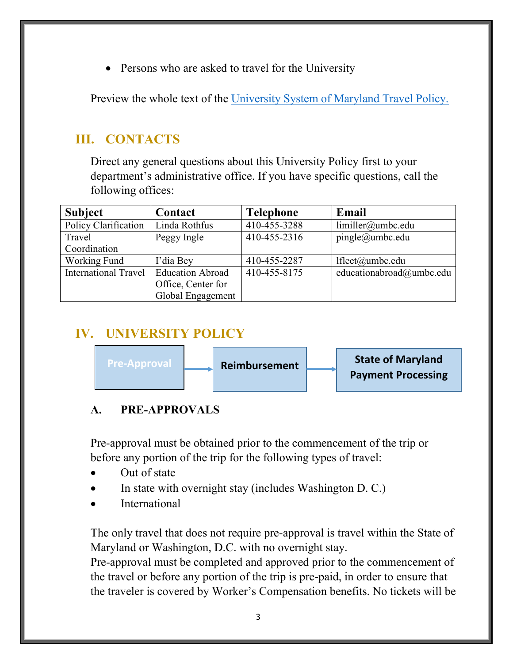• Persons who are asked to travel for the University

Preview the whole text of the [University System of Maryland Travel Policy.](https://www.usmd.edu/regents/bylaws/SectionVIII/VIII1100.html)

## <span id="page-3-0"></span>**III. CONTACTS**

Direct any general questions about this University Policy first to your department's administrative office. If you have specific questions, call the following offices:

| <b>Subject</b>              | Contact                 | <b>Telephone</b> | Email                    |
|-----------------------------|-------------------------|------------------|--------------------------|
| Policy Clarification        | Linda Rothfus           | 410-455-3288     | limiller@umbc.edu        |
| Travel                      | Peggy Ingle             | 410-455-2316     | pingle@umbc.edu          |
| Coordination                |                         |                  |                          |
| Working Fund                | I'dia Bey               | 410-455-2287     | lfleet@umbc.edu          |
| <b>International Travel</b> | <b>Education Abroad</b> | 410-455-8175     | educationabroad@umbc.edu |
|                             | Office, Center for      |                  |                          |
|                             | Global Engagement       |                  |                          |

## **IV. UNIVERSITY POLICY**

<span id="page-3-1"></span>

## <span id="page-3-2"></span>**A. PRE-APPROVALS**

Pre-approval must be obtained prior to the commencement of the trip or before any portion of the trip for the following types of travel:

- Out of state
- In state with overnight stay (includes Washington D. C.)
- **International**

The only travel that does not require pre-approval is travel within the State of Maryland or Washington, D.C. with no overnight stay.

Pre-approval must be completed and approved prior to the commencement of the travel or before any portion of the trip is pre-paid, in order to ensure that the traveler is covered by Worker's Compensation benefits. No tickets will be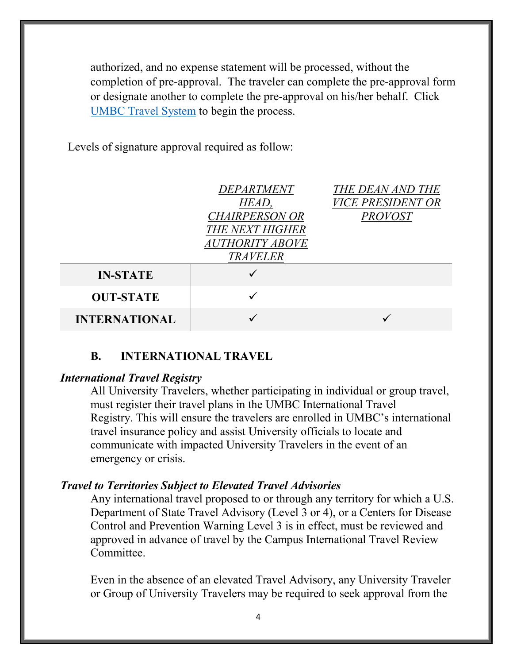authorized, and no expense statement will be processed, without the completion of pre-approval. The traveler can complete the pre-approval form or designate another to complete the pre-approval on his/her behalf. Click [UMBC Travel System](http://www.umbc.edu/go/travel-system) to begin the process.

Levels of signature approval required as follow:

|                      | DEPARTMENT<br>HEAD,<br><b>CHAIRPERSON OR</b><br><b>THE NEXT HIGHER</b><br><b>AUTHORITY ABOVE</b><br><b>TRAVELER</b> | THE DEAN AND THE<br><b>VICE PRESIDENT OR</b><br><b>PROVOST</b> |
|----------------------|---------------------------------------------------------------------------------------------------------------------|----------------------------------------------------------------|
| <b>IN-STATE</b>      |                                                                                                                     |                                                                |
| <b>OUT-STATE</b>     |                                                                                                                     |                                                                |
| <b>INTERNATIONAL</b> |                                                                                                                     |                                                                |

#### **B. INTERNATIONAL TRAVEL**

#### <span id="page-4-0"></span>*International Travel Registry*

All University Travelers, whether participating in individual or group travel, must register their travel plans in the UMBC International Travel Registry. This will ensure the travelers are enrolled in UMBC's international travel insurance policy and assist University officials to locate and communicate with impacted University Travelers in the event of an emergency or crisis.

#### *Travel to Territories Subject to Elevated Travel Advisories*

Any international travel proposed to or through any territory for which a U.S. Department of State Travel Advisory (Level 3 or 4), or a Centers for Disease Control and Prevention Warning Level 3 is in effect, must be reviewed and approved in advance of travel by the Campus International Travel Review Committee.

Even in the absence of an elevated Travel Advisory, any University Traveler or Group of University Travelers may be required to seek approval from the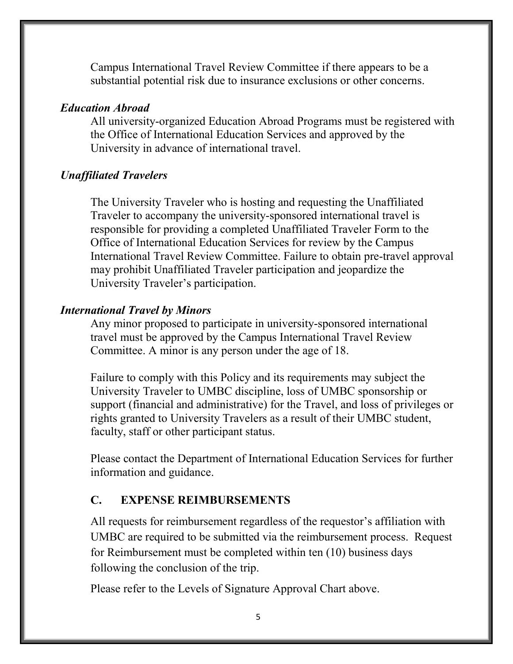Campus International Travel Review Committee if there appears to be a substantial potential risk due to insurance exclusions or other concerns.

#### *Education Abroad*

All university-organized Education Abroad Programs must be registered with the Office of International Education Services and approved by the University in advance of international travel.

#### *Unaffiliated Travelers*

The University Traveler who is hosting and requesting the Unaffiliated Traveler to accompany the university-sponsored international travel is responsible for providing a completed Unaffiliated Traveler Form to the Office of International Education Services for review by the Campus International Travel Review Committee. Failure to obtain pre-travel approval may prohibit Unaffiliated Traveler participation and jeopardize the University Traveler's participation.

#### *International Travel by Minors*

Any minor proposed to participate in university-sponsored international travel must be approved by the Campus International Travel Review Committee. A minor is any person under the age of 18.

Failure to comply with this Policy and its requirements may subject the University Traveler to UMBC discipline, loss of UMBC sponsorship or support (financial and administrative) for the Travel, and loss of privileges or rights granted to University Travelers as a result of their UMBC student, faculty, staff or other participant status.

Please contact the Department of International Education Services for further information and guidance.

#### <span id="page-5-0"></span>**C. EXPENSE REIMBURSEMENTS**

All requests for reimbursement regardless of the requestor's affiliation with UMBC are required to be submitted via the reimbursement process. Request for Reimbursement must be completed within ten (10) business days following the conclusion of the trip.

Please refer to the Levels of Signature Approval Chart above.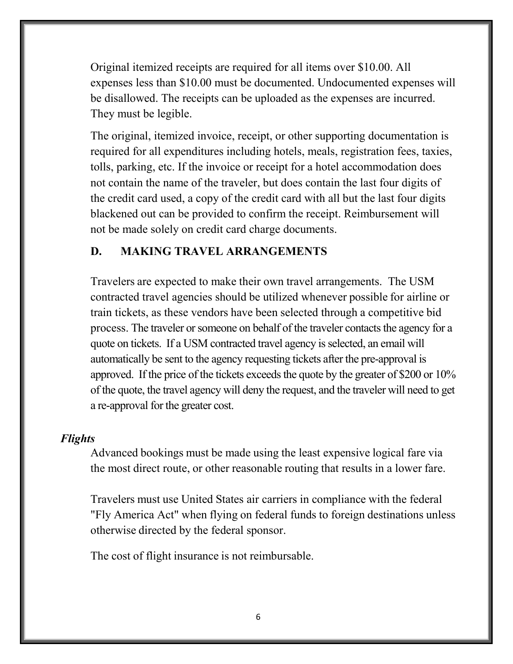Original itemized receipts are required for all items over \$10.00. All expenses less than \$10.00 must be documented. Undocumented expenses will be disallowed. The receipts can be uploaded as the expenses are incurred. They must be legible.

The original, itemized invoice, receipt, or other supporting documentation is required for all expenditures including hotels, meals, registration fees, taxies, tolls, parking, etc. If the invoice or receipt for a hotel accommodation does not contain the name of the traveler, but does contain the last four digits of the credit card used, a copy of the credit card with all but the last four digits blackened out can be provided to confirm the receipt. Reimbursement will not be made solely on credit card charge documents.

#### **D. MAKING TRAVEL ARRANGEMENTS**

Travelers are expected to make their own travel arrangements. The USM contracted travel agencies should be utilized whenever possible for airline or train tickets, as these vendors have been selected through a competitive bid process. The traveler or someone on behalf of the traveler contacts the agency for a quote on tickets. If a USM contracted travel agency is selected, an email will automatically be sent to the agency requesting tickets after the pre-approval is approved. If the price of the tickets exceeds the quote by the greater of  $$200$  or  $10\%$ of the quote, the travel agency will deny the request, and the traveler will need to get a re-approval for the greater cost.

#### *Flights*

Advanced bookings must be made using the least expensive logical fare via the most direct route, or other reasonable routing that results in a lower fare.

Travelers must use United States air carriers in compliance with the federal "Fly America Act" when flying on federal funds to foreign destinations unless otherwise directed by the federal sponsor.

The cost of flight insurance is not reimbursable.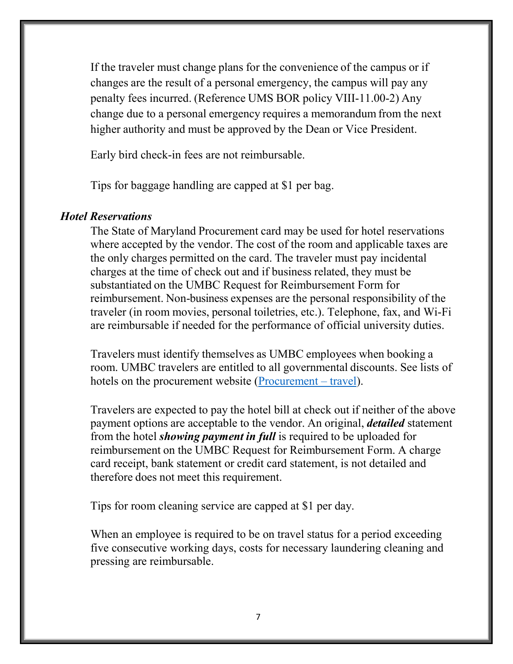If the traveler must change plans for the convenience of the campus or if changes are the result of a personal emergency, the campus will pay any penalty fees incurred. (Reference UMS BOR policy VIII-11.00-2) Any change due to a personal emergency requires a memorandum from the next higher authority and must be approved by the Dean or Vice President.

Early bird check-in fees are not reimbursable.

Tips for baggage handling are capped at \$1 per bag.

#### *Hotel Reservations*

The State of Maryland Procurement card may be used for hotel reservations where accepted by the vendor. The cost of the room and applicable taxes are the only charges permitted on the card. The traveler must pay incidental charges at the time of check out and if business related, they must be substantiated on the UMBC Request for Reimbursement Form for reimbursement. Non-business expenses are the personal responsibility of the traveler (in room movies, personal toiletries, etc.). Telephone, fax, and Wi-Fi are reimbursable if needed for the performance of official university duties.

Travelers must identify themselves as UMBC employees when booking a room. UMBC travelers are entitled to all governmental discounts. See lists of hotels on the procurement website [\(Procurement –](https://procurement.umbc.edu/umbc-staff/#travel) travel).

Travelers are expected to pay the hotel bill at check out if neither of the above payment options are acceptable to the vendor. An original, *detailed* statement from the hotel *showing payment in full* is required to be uploaded for reimbursement on the UMBC Request for Reimbursement Form. A charge card receipt, bank statement or credit card statement, is not detailed and therefore does not meet this requirement.

Tips for room cleaning service are capped at \$1 per day.

When an employee is required to be on travel status for a period exceeding five consecutive working days, costs for necessary laundering cleaning and pressing are reimbursable.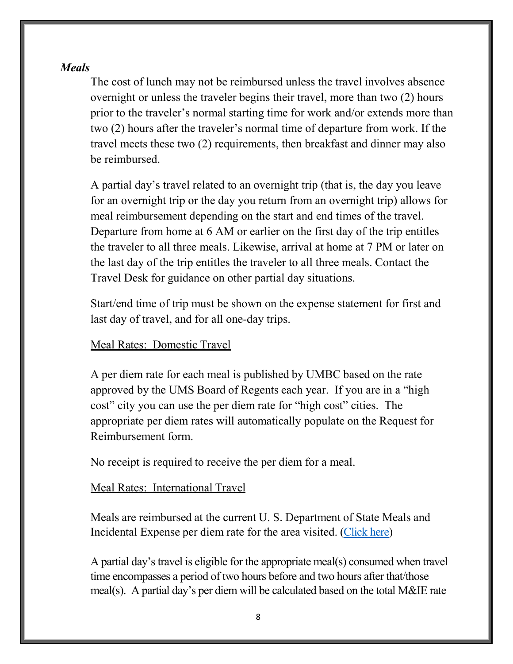#### *Meals*

The cost of lunch may not be reimbursed unless the travel involves absence overnight or unless the traveler begins their travel, more than two (2) hours prior to the traveler's normal starting time for work and/or extends more than two (2) hours after the traveler's normal time of departure from work. If the travel meets these two (2) requirements, then breakfast and dinner may also be reimbursed.

A partial day's travel related to an overnight trip (that is, the day you leave for an overnight trip or the day you return from an overnight trip) allows for meal reimbursement depending on the start and end times of the travel. Departure from home at 6 AM or earlier on the first day of the trip entitles the traveler to all three meals. Likewise, arrival at home at 7 PM or later on the last day of the trip entitles the traveler to all three meals. Contact the Travel Desk for guidance on other partial day situations.

Start/end time of trip must be shown on the expense statement for first and last day of travel, and for all one-day trips.

#### Meal Rates: Domestic Travel

A per diem rate for each meal is published by UMBC based on the rate approved by the UMS Board of Regents each year. If you are in a "high cost" city you can use the per diem rate for "high cost" cities. The appropriate per diem rates will automatically populate on the Request for Reimbursement form.

No receipt is required to receive the per diem for a meal.

#### Meal Rates: International Travel

Meals are reimbursed at the current U. S. Department of State Meals and Incidental Expense per diem rate for the area visited. [\(Click here\)](https://aoprals.state.gov/web920/per_diem.asp)

A partial day's travel is eligible for the appropriate meal(s) consumed when travel time encompasses a period of two hours before and two hours after that/those meal(s). A partial day's per diem will be calculated based on the total M&IE rate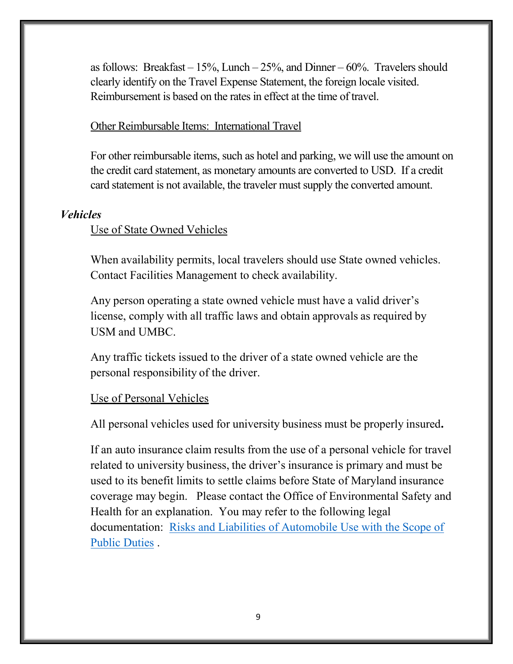as follows: Breakfast –  $15\%$ , Lunch –  $25\%$ , and Dinner –  $60\%$ . Travelers should clearly identify on the Travel Expense Statement, the foreign locale visited. Reimbursement is based on the rates in effect at the time of travel.

#### Other Reimbursable Items: International Travel

For other reimbursable items, such as hotel and parking, we will use the amount on the credit card statement, as monetary amounts are converted to USD. If a credit card statement is not available, the traveler must supply the converted amount.

#### *Vehicles*

#### Use of State Owned Vehicles

When availability permits, local travelers should use State owned vehicles. Contact Facilities Management to check availability.

Any person operating a state owned vehicle must have a valid driver's license, comply with all traffic laws and obtain approvals as required by USM and UMBC.

Any traffic tickets issued to the driver of a state owned vehicle are the personal responsibility of the driver.

#### Use of Personal Vehicles

All personal vehicles used for university business must be properly insured**.**

If an auto insurance claim results from the use of a personal vehicle for travel related to university business, the driver's insurance is primary and must be used to its benefit limits to settle claims before State of Maryland insurance coverage may begin. Please contact the Office of Environmental Safety and Health for an explanation. You may refer to the following legal documentation: [Risks and Liabilities of Automobile Use with the Scope of](https://www.treasurer.state.md.us/media/27710/autorisk-liabilities-memo.pdf)  [Public Duties](https://www.treasurer.state.md.us/media/27710/autorisk-liabilities-memo.pdf) .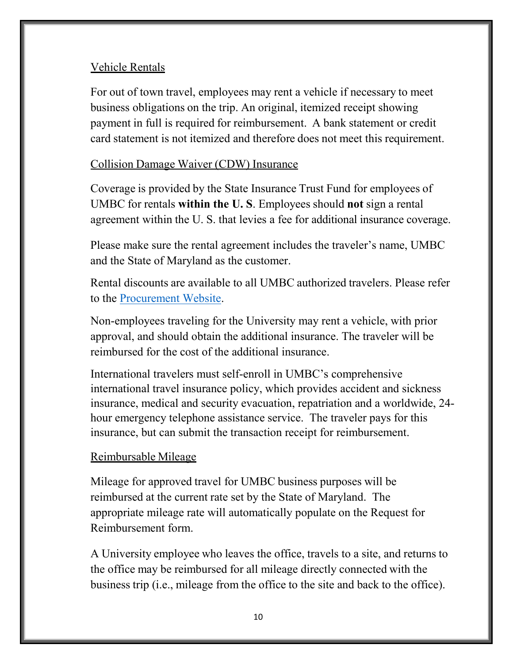#### Vehicle Rentals

For out of town travel, employees may rent a vehicle if necessary to meet business obligations on the trip. An original, itemized receipt showing payment in full is required for reimbursement. A bank statement or credit card statement is not itemized and therefore does not meet this requirement.

#### Collision Damage Waiver (CDW) Insurance

Coverage is provided by the State Insurance Trust Fund for employees of UMBC for rentals **within the U. S**. Employees should **not** sign a rental agreement within the U. S. that levies a fee for additional insurance coverage.

Please make sure the rental agreement includes the traveler's name, UMBC and the State of Maryland as the customer.

Rental discounts are available to all UMBC authorized travelers. Please refer to the [Procurement Website.](https://www.umbc.edu/adminaffairs/procurement/CarRentalInfo/)

Non-employees traveling for the University may rent a vehicle, with prior approval, and should obtain the additional insurance. The traveler will be reimbursed for the cost of the additional insurance.

International travelers must self-enroll in UMBC's comprehensive international travel insurance policy, which provides accident and sickness insurance, medical and security evacuation, repatriation and a worldwide, 24 hour emergency telephone assistance service. The traveler pays for this insurance, but can submit the transaction receipt for reimbursement.

#### Reimbursable Mileage

Mileage for approved travel for UMBC business purposes will be reimbursed at the current rate set by the State of Maryland. The appropriate mileage rate will automatically populate on the Request for Reimbursement form.

A University employee who leaves the office, travels to a site, and returns to the office may be reimbursed for all mileage directly connected with the business trip (i.e., mileage from the office to the site and back to the office).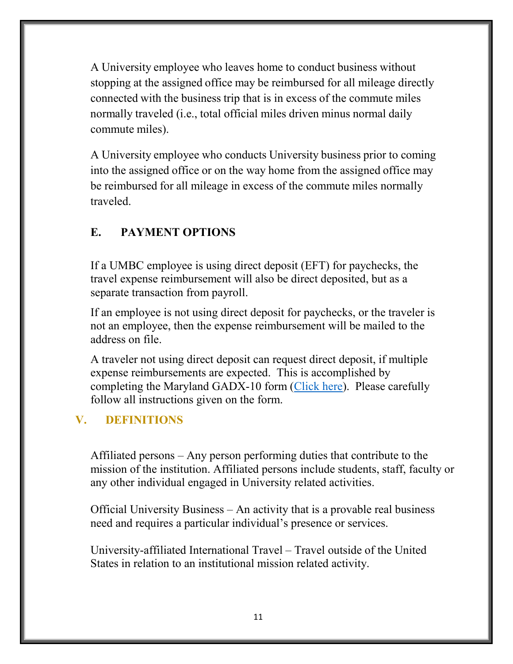A University employee who leaves home to conduct business without stopping at the assigned office may be reimbursed for all mileage directly connected with the business trip that is in excess of the commute miles normally traveled (i.e., total official miles driven minus normal daily commute miles).

A University employee who conducts University business prior to coming into the assigned office or on the way home from the assigned office may be reimbursed for all mileage in excess of the commute miles normally traveled.

#### <span id="page-11-0"></span>**E. PAYMENT OPTIONS**

If a UMBC employee is using direct deposit (EFT) for paychecks, the travel expense reimbursement will also be direct deposited, but as a separate transaction from payroll.

If an employee is not using direct deposit for paychecks, or the traveler is not an employee, then the expense reimbursement will be mailed to the address on file.

A traveler not using direct deposit can request direct deposit, if multiple expense reimbursements are expected. This is accomplished by completing the Maryland GADX-10 form [\(Click here\)](https://www.marylandtaxes.gov/divisions/gad/eft-program.php). Please carefully follow all instructions given on the form.

#### <span id="page-11-1"></span>**V. DEFINITIONS**

Affiliated persons – Any person performing duties that contribute to the mission of the institution. Affiliated persons include students, staff, faculty or any other individual engaged in University related activities.

Official University Business – An activity that is a provable real business need and requires a particular individual's presence or services.

University-affiliated International Travel – Travel outside of the United States in relation to an institutional mission related activity.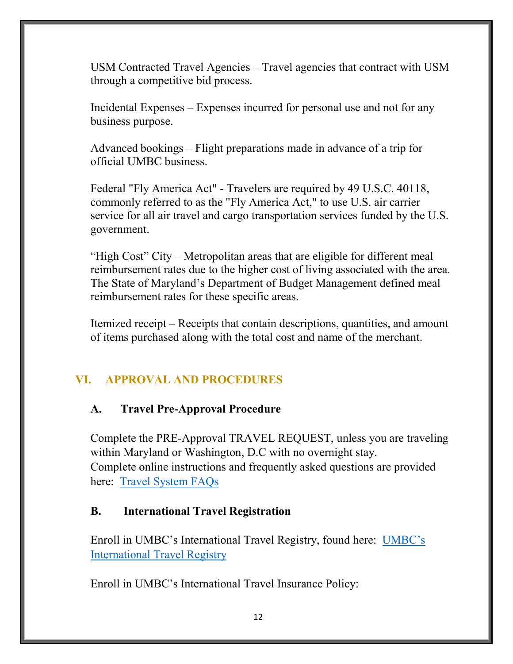USM Contracted Travel Agencies – Travel agencies that contract with USM through a competitive bid process.

Incidental Expenses – Expenses incurred for personal use and not for any business purpose.

Advanced bookings – Flight preparations made in advance of a trip for official UMBC business.

Federal "Fly America Act" - Travelers are required by 49 U.S.C. 40118, commonly referred to as the "Fly America Act," to use U.S. air carrier service for all air travel and cargo transportation services funded by the U.S. government.

"High Cost" City – Metropolitan areas that are eligible for different meal reimbursement rates due to the higher cost of living associated with the area. The State of Maryland's Department of Budget Management defined meal reimbursement rates for these specific areas.

Itemized receipt – Receipts that contain descriptions, quantities, and amount of items purchased along with the total cost and name of the merchant.

## <span id="page-12-0"></span>**VI. APPROVAL AND PROCEDURES**

#### <span id="page-12-1"></span>**A. Travel Pre-Approval Procedure**

Complete the PRE-Approval TRAVEL REQUEST, unless you are traveling within Maryland or Washington, D.C with no overnight stay. Complete online instructions and frequently asked questions are provided here: [Travel System FAQs](https://businessservices.umbc.edu/accounts-payable/)

#### <span id="page-12-2"></span>**B. International Travel Registration**

Enroll in UMBC's International Travel Registry, found here: [UMBC's](https://travelregistry.umbc.edu/)  [International Travel Registry](https://travelregistry.umbc.edu/)

Enroll in UMBC's International Travel Insurance Policy: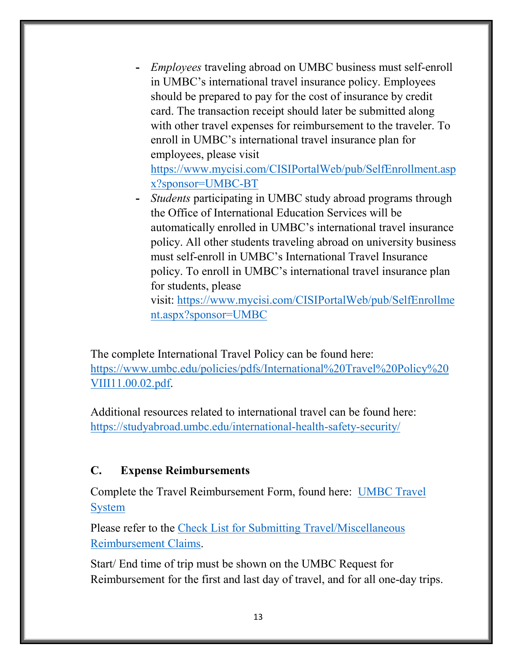- **-** *Employees* traveling abroad on UMBC business must self-enroll in UMBC's international travel insurance policy. Employees should be prepared to pay for the cost of insurance by credit card. The transaction receipt should later be submitted along with other travel expenses for reimbursement to the traveler. To enroll in UMBC's international travel insurance plan for employees, please visit [https://www.mycisi.com/CISIPortalWeb/pub/SelfEnrollment.asp](https://www.mycisi.com/CISIPortalWeb/pub/SelfEnrollment.aspx?sponsor=UMBC-BT) [x?sponsor=UMBC-BT](https://www.mycisi.com/CISIPortalWeb/pub/SelfEnrollment.aspx?sponsor=UMBC-BT)
- **-** *Students* participating in UMBC study abroad programs through the Office of International Education Services will be automatically enrolled in UMBC's international travel insurance policy. All other students traveling abroad on university business must self-enroll in UMBC's International Travel Insurance policy. To enroll in UMBC's international travel insurance plan for students, please

visit: [https://www.mycisi.com/CISIPortalWeb/pub/SelfEnrollme](https://www.mycisi.com/CISIPortalWeb/pub/SelfEnrollment.aspx?sponsor=UMBC) [nt.aspx?sponsor=UMBC](https://www.mycisi.com/CISIPortalWeb/pub/SelfEnrollment.aspx?sponsor=UMBC)

The complete International Travel Policy can be found here: [https://www.umbc.edu/policies/pdfs/International%20Travel%20Policy%20](https://www.umbc.edu/policies/pdfs/International%20Travel%20Policy%20VIII11.00.02.pdf) [VIII11.00.02.pdf.](https://www.umbc.edu/policies/pdfs/International%20Travel%20Policy%20VIII11.00.02.pdf)

Additional resources related to international travel can be found here: <https://studyabroad.umbc.edu/international-health-safety-security/>

#### <span id="page-13-0"></span>**C. Expense Reimbursements**

Complete the Travel Reimbursement Form, found here: [UMBC Travel](http://www.umbc.edu/go/travel-system)  [System](http://www.umbc.edu/go/travel-system)

Please refer to the Check List for Submitting Travel/Miscellaneous [Reimbursement Claims.](https://businessservices.umbc.edu/files/2020/03/travel_checklist-2020.pdf)

Start/ End time of trip must be shown on the UMBC Request for Reimbursement for the first and last day of travel, and for all one-day trips.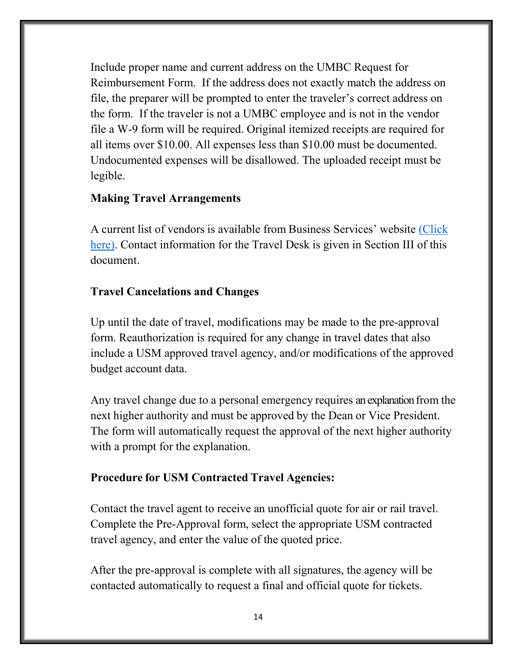Include proper name and current address on the UMBC Request for Reimbursement Form. If the address does not exactly match the address on file, the preparer will be prompted to enter the traveler's correct address on the form. If the traveler is not a UMBC employee and is not in the vendor file a W-9 form will be required. Original itemized receipts are required for all items over \$10.00. All expenses less than \$10.00 must be documented. Undocumented expenses will be disallowed. The uploaded receipt must be legible.

#### **Making Travel Arrangements**

A current list of vendors is available from Business Services' website [\(Click](https://businessservices.umbc.edu/making-travel-reservations/)  [here\).](https://businessservices.umbc.edu/making-travel-reservations/) Contact information for the Travel Desk is given in Section III of this document.

#### **Travel Cancelations and Changes**

Up until the date of travel, modifications may be made to the pre-approval form. Reauthorization is required for any change in travel dates that also include a USM approved travel agency, and/or modifications of the approved budget account data.

Any travel change due to a personal emergency requires an explanation from the next higher authority and must be approved by the Dean or Vice President. The form will automatically request the approval of the next higher authority with a prompt for the explanation.

#### **Procedure for USM Contracted Travel Agencies:**

Contact the travel agent to receive an unofficial quote for air or rail travel. Complete the Pre-Approval form, select the appropriate USM contracted travel agency, and enter the value of the quoted price.

After the pre-approval is complete with all signatures, the agency will be contacted automatically to request a final and official quote for tickets.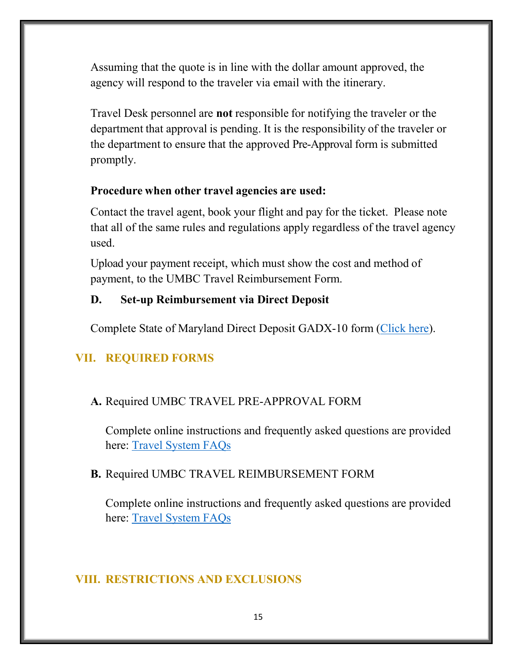Assuming that the quote is in line with the dollar amount approved, the agency will respond to the traveler via email with the itinerary.

Travel Desk personnel are **not** responsible for notifying the traveler or the department that approval is pending. It is the responsibility of the traveler or the department to ensure that the approved Pre-Approval form is submitted promptly.

#### **Procedure when other travel agencies are used:**

Contact the travel agent, book your flight and pay for the ticket. Please note that all of the same rules and regulations apply regardless of the travel agency used.

Upload your payment receipt, which must show the cost and method of payment, to the UMBC Travel Reimbursement Form.

### <span id="page-15-0"></span>**D. Set-up Reimbursement via Direct Deposit**

Complete State of Maryland Direct Deposit GADX-10 form [\(Click here\)](https://www.marylandtaxes.gov/divisions/gad/eft-program.php).

## <span id="page-15-1"></span>**VII. REQUIRED FORMS**

## <span id="page-15-2"></span>**A.** Required UMBC TRAVEL PRE-APPROVAL FORM

Complete online instructions and frequently asked questions are provided here: [Travel System FAQs](https://businessservices.umbc.edu/accounts-payable/)

## <span id="page-15-3"></span>**B.** Required UMBC TRAVEL REIMBURSEMENT FORM

Complete online instructions and frequently asked questions are provided here: [Travel System FAQs](https://businessservices.umbc.edu/accounts-payable/)

## <span id="page-15-4"></span>**VIII. RESTRICTIONS AND EXCLUSIONS**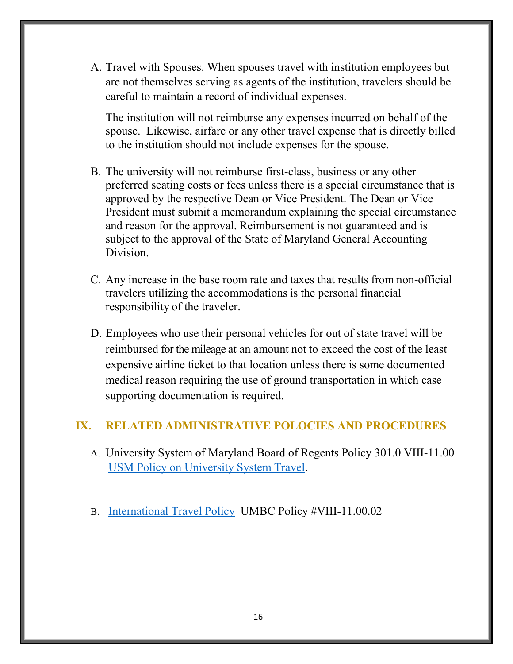A. Travel with Spouses. When spouses travel with institution employees but are not themselves serving as agents of the institution, travelers should be careful to maintain a record of individual expenses.

The institution will not reimburse any expenses incurred on behalf of the spouse. Likewise, airfare or any other travel expense that is directly billed to the institution should not include expenses for the spouse.

- B. The university will not reimburse first-class, business or any other preferred seating costs or fees unless there is a special circumstance that is approved by the respective Dean or Vice President. The Dean or Vice President must submit a memorandum explaining the special circumstance and reason for the approval. Reimbursement is not guaranteed and is subject to the approval of the State of Maryland General Accounting Division.
- C. Any increase in the base room rate and taxes that results from non-official travelers utilizing the accommodations is the personal financial responsibility of the traveler.
- D. Employees who use their personal vehicles for out of state travel will be reimbursed for the mileage at an amount not to exceed the cost of the least expensive airline ticket to that location unless there is some documented medical reason requiring the use of ground transportation in which case supporting documentation is required.

#### <span id="page-16-1"></span><span id="page-16-0"></span>**IX. RELATED ADMINISTRATIVE POLOCIES AND PROCEDURES**

- A. University System of Maryland Board of Regents Policy 301.0 VIII-11.00 [USM Policy on University System Travel.](https://www.usmd.edu/regents/bylaws/SectionVIII/VIII1100.html)
- B. [International Travel Policy](https://www.umbc.edu/policies/pdfs/International%20Travel%20Policy%20VIII11.00.02.pdf) UMBC Policy #VIII-11.00.02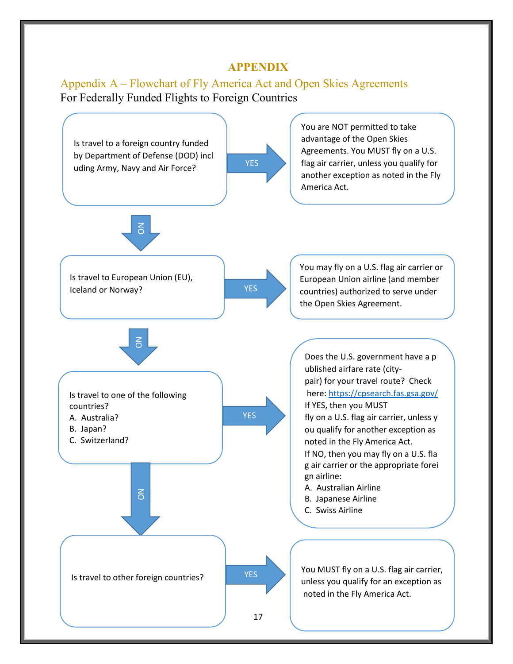#### **APPENDIX**

#### <span id="page-17-1"></span><span id="page-17-0"></span>Appendix A – Flowchart of Fly America Act and Open Skies Agreements For Federally Funded Flights to Foreign Countries

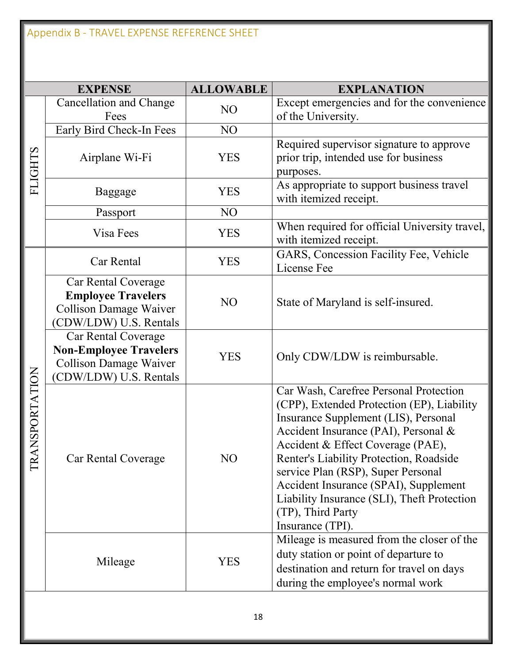|                   | <b>EXPENSE</b>                                                                                                 | <b>ALLOWABLE</b> | <b>EXPLANATION</b>                                                                                                                                                                                                                                                                                                                                                                                                          |
|-------------------|----------------------------------------------------------------------------------------------------------------|------------------|-----------------------------------------------------------------------------------------------------------------------------------------------------------------------------------------------------------------------------------------------------------------------------------------------------------------------------------------------------------------------------------------------------------------------------|
| <b>FLIGHTS</b>    | Cancellation and Change<br>Fees                                                                                | NO               | Except emergencies and for the convenience<br>of the University.                                                                                                                                                                                                                                                                                                                                                            |
|                   | Early Bird Check-In Fees                                                                                       | NO               |                                                                                                                                                                                                                                                                                                                                                                                                                             |
|                   | Airplane Wi-Fi                                                                                                 | <b>YES</b>       | Required supervisor signature to approve<br>prior trip, intended use for business<br>purposes.                                                                                                                                                                                                                                                                                                                              |
|                   | Baggage                                                                                                        | <b>YES</b>       | As appropriate to support business travel<br>with itemized receipt.                                                                                                                                                                                                                                                                                                                                                         |
|                   | Passport                                                                                                       | NO               |                                                                                                                                                                                                                                                                                                                                                                                                                             |
|                   | Visa Fees                                                                                                      | <b>YES</b>       | When required for official University travel,<br>with itemized receipt.                                                                                                                                                                                                                                                                                                                                                     |
| ANSPORTATION<br>E | Car Rental                                                                                                     | <b>YES</b>       | GARS, Concession Facility Fee, Vehicle<br>License Fee                                                                                                                                                                                                                                                                                                                                                                       |
|                   | Car Rental Coverage<br><b>Employee Travelers</b><br>Collison Damage Waiver<br>CDW/LDW) U.S. Rentals            | N <sub>O</sub>   | State of Maryland is self-insured.                                                                                                                                                                                                                                                                                                                                                                                          |
|                   | Car Rental Coverage<br><b>Non-Employee Travelers</b><br><b>Collison Damage Waiver</b><br>CDW/LDW) U.S. Rentals | <b>YES</b>       | Only CDW/LDW is reimbursable.                                                                                                                                                                                                                                                                                                                                                                                               |
|                   | <b>Car Rental Coverage</b>                                                                                     | NO               | Car Wash, Carefree Personal Protection<br>(CPP), Extended Protection (EP), Liability<br>Insurance Supplement (LIS), Personal<br>Accident Insurance (PAI), Personal &<br>Accident & Effect Coverage (PAE),<br>Renter's Liability Protection, Roadside<br>service Plan (RSP), Super Personal<br>Accident Insurance (SPAI), Supplement<br>Liability Insurance (SLI), Theft Protection<br>(TP), Third Party<br>Insurance (TPI). |
|                   | Mileage                                                                                                        | <b>YES</b>       | Mileage is measured from the closer of the<br>duty station or point of departure to<br>destination and return for travel on days<br>during the employee's normal work                                                                                                                                                                                                                                                       |